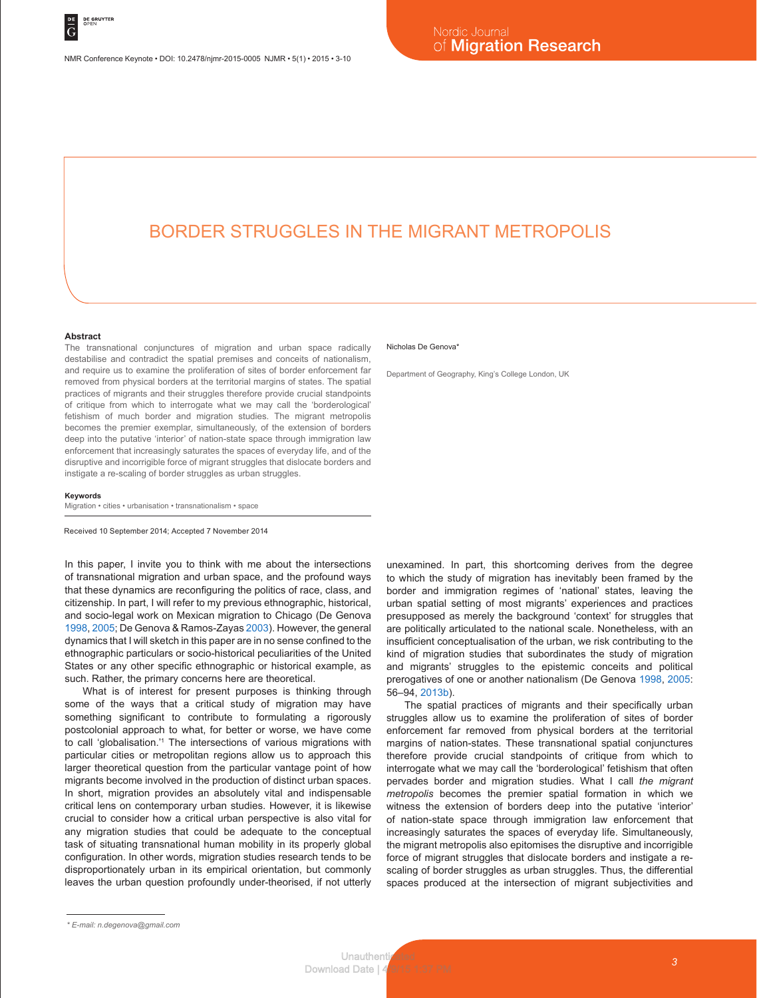# BORDER STRUGGLES IN THE MIGRANT METROPOLIS

#### **Abstract**

The transnational conjunctures of migration and urban space radically destabilise and contradict the spatial premises and conceits of nationalism, and require us to examine the proliferation of sites of border enforcement far removed from physical borders at the territorial margins of states. The spatial practices of migrants and their struggles therefore provide crucial standpoints of critique from which to interrogate what we may call the 'borderological' fetishism of much border and migration studies. The migrant metropolis becomes the premier exemplar, simultaneously, of the extension of borders deep into the putative 'interior' of nation-state space through immigration law enforcement that increasingly saturates the spaces of everyday life, and of the disruptive and incorrigible force of migrant struggles that dislocate borders and instigate a re-scaling of border struggles as urban struggles.

**Keywords** Migration • cities • urbanisation • transnationalism • space

Received 10 September 2014; Accepted 7 November 2014

In this paper, I invite you to think with me about the intersections of transnational migration and urban space, and the profound ways that these dynamics are reconfiguring the politics of race, class, and citizenship. In part, I will refer to my previous ethnographic, historical, and socio-legal work on Mexican migration to Chicago (De Genova 1998, 2005; De Genova & Ramos-Zayas 2003). However, the general dynamics that I will sketch in this paper are in no sense confined to the ethnographic particulars or socio-historical peculiarities of the United States or any other specific ethnographic or historical example, as such. Rather, the primary concerns here are theoretical.

What is of interest for present purposes is thinking through some of the ways that a critical study of migration may have something significant to contribute to formulating a rigorously postcolonial approach to what, for better or worse, we have come to call 'globalisation.'<sup>1</sup> The intersections of various migrations with particular cities or metropolitan regions allow us to approach this larger theoretical question from the particular vantage point of how migrants become involved in the production of distinct urban spaces. In short, migration provides an absolutely vital and indispensable critical lens on contemporary urban studies. However, it is likewise crucial to consider how a critical urban perspective is also vital for any migration studies that could be adequate to the conceptual task of situating transnational human mobility in its properly global configuration. In other words, migration studies research tends to be disproportionately urban in its empirical orientation, but commonly leaves the urban question profoundly under-theorised, if not utterly

#### Nicholas De Genova\*

Department of Geography, King's College London, UK

unexamined. In part, this shortcoming derives from the degree to which the study of migration has inevitably been framed by the border and immigration regimes of 'national' states, leaving the urban spatial setting of most migrants' experiences and practices presupposed as merely the background 'context' for struggles that are politically articulated to the national scale. Nonetheless, with an insufficient conceptualisation of the urban, we risk contributing to the kind of migration studies that subordinates the study of migration and migrants' struggles to the epistemic conceits and political prerogatives of one or another nationalism (De Genova 1998, 2005: 56–94, 2013b).

The spatial practices of migrants and their specifically urban struggles allow us to examine the proliferation of sites of border enforcement far removed from physical borders at the territorial margins of nation-states. These transnational spatial conjunctures therefore provide crucial standpoints of critique from which to interrogate what we may call the 'borderological' fetishism that often pervades border and migration studies. What I call *the migrant metropolis* becomes the premier spatial formation in which we witness the extension of borders deep into the putative 'interior' of nation-state space through immigration law enforcement that increasingly saturates the spaces of everyday life. Simultaneously, the migrant metropolis also epitomises the disruptive and incorrigible force of migrant struggles that dislocate borders and instigate a rescaling of border struggles as urban struggles. Thus, the differential spaces produced at the intersection of migrant subjectivities and

*<sup>\*</sup> E-mail: n.degenova@gmail.com*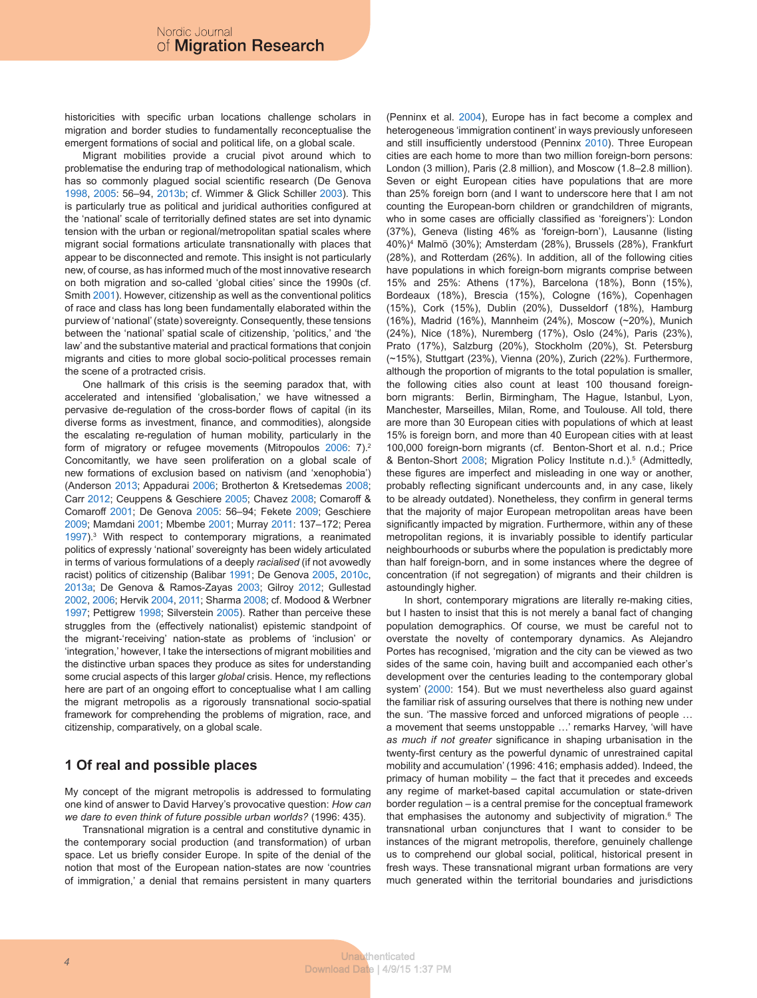historicities with specific urban locations challenge scholars in migration and border studies to fundamentally reconceptualise the emergent formations of social and political life, on a global scale.

Migrant mobilities provide a crucial pivot around which to problematise the enduring trap of methodological nationalism, which has so commonly plagued social scientific research (De Genova 1998, 2005: 56–94, 2013b; cf. Wimmer & Glick Schiller 2003). This is particularly true as political and juridical authorities configured at the 'national' scale of territorially defined states are set into dynamic tension with the urban or regional/metropolitan spatial scales where migrant social formations articulate transnationally with places that appear to be disconnected and remote. This insight is not particularly new, of course, as has informed much of the most innovative research on both migration and so-called 'global cities' since the 1990s (cf. Smith 2001). However, citizenship as well as the conventional politics of race and class has long been fundamentally elaborated within the purview of 'national' (state) sovereignty. Consequently, these tensions between the 'national' spatial scale of citizenship, 'politics,' and 'the law' and the substantive material and practical formations that conjoin migrants and cities to more global socio-political processes remain the scene of a protracted crisis.

One hallmark of this crisis is the seeming paradox that, with accelerated and intensified 'globalisation,' we have witnessed a pervasive de-regulation of the cross-border flows of capital (in its diverse forms as investment, finance, and commodities), alongside the escalating re-regulation of human mobility, particularly in the form of migratory or refugee movements (Mitropoulos 2006: 7).<sup>2</sup> Concomitantly, we have seen proliferation on a global scale of new formations of exclusion based on nativism (and 'xenophobia') (Anderson 2013; Appadurai 2006; Brotherton & Kretsedemas 2008; Carr 2012; Ceuppens & Geschiere 2005; Chavez 2008; Comaroff & Comaroff 2001; De Genova 2005: 56–94; Fekete 2009; Geschiere 2009; Mamdani 2001; Mbembe 2001; Murray 2011: 137–172; Perea 1997).<sup>3</sup> With respect to contemporary migrations, a reanimated politics of expressly 'national' sovereignty has been widely articulated in terms of various formulations of a deeply *racialised* (if not avowedly racist) politics of citizenship (Balibar 1991; De Genova 2005, 2010c, 2013a; De Genova & Ramos-Zayas 2003; Gilroy 2012; Gullestad 2002, 2006; Hervik 2004, 2011; Sharma 2008; cf. Modood & Werbner 1997; Pettigrew 1998; Silverstein 2005). Rather than perceive these struggles from the (effectively nationalist) epistemic standpoint of the migrant-'receiving' nation-state as problems of 'inclusion' or 'integration,' however, I take the intersections of migrant mobilities and the distinctive urban spaces they produce as sites for understanding some crucial aspects of this larger *global* crisis. Hence, my reflections here are part of an ongoing effort to conceptualise what I am calling the migrant metropolis as a rigorously transnational socio-spatial framework for comprehending the problems of migration, race, and citizenship, comparatively, on a global scale.

# **1 Of real and possible places**

My concept of the migrant metropolis is addressed to formulating one kind of answer to David Harvey's provocative question: *How can we dare to even think of future possible urban worlds?* (1996: 435).

Transnational migration is a central and constitutive dynamic in the contemporary social production (and transformation) of urban space. Let us briefly consider Europe. In spite of the denial of the notion that most of the European nation-states are now 'countries of immigration,' a denial that remains persistent in many quarters (Penninx et al. 2004), Europe has in fact become a complex and heterogeneous 'immigration continent' in ways previously unforeseen and still insufficiently understood (Penninx 2010). Three European cities are each home to more than two million foreign-born persons: London (3 million), Paris (2.8 million), and Moscow (1.8–2.8 million). Seven or eight European cities have populations that are more than 25% foreign born (and I want to underscore here that I am not counting the European-born children or grandchildren of migrants, who in some cases are officially classified as 'foreigners'): London (37%), Geneva (listing 46% as 'foreign-born'), Lausanne (listing 40%)4 Malmö (30%); Amsterdam (28%), Brussels (28%), Frankfurt (28%), and Rotterdam (26%). In addition, all of the following cities have populations in which foreign-born migrants comprise between 15% and 25%: Athens (17%), Barcelona (18%), Bonn (15%), Bordeaux (18%), Brescia (15%), Cologne (16%), Copenhagen (15%), Cork (15%), Dublin (20%), Dusseldorf (18%), Hamburg (16%), Madrid (16%), Mannheim (24%), Moscow (~20%), Munich (24%), Nice (18%), Nuremberg (17%), Oslo (24%), Paris (23%), Prato (17%), Salzburg (20%), Stockholm (20%), St. Petersburg (~15%), Stuttgart (23%), Vienna (20%), Zurich (22%). Furthermore, although the proportion of migrants to the total population is smaller, the following cities also count at least 100 thousand foreignborn migrants: Berlin, Birmingham, The Hague, Istanbul, Lyon, Manchester, Marseilles, Milan, Rome, and Toulouse. All told, there are more than 30 European cities with populations of which at least 15% is foreign born, and more than 40 European cities with at least 100,000 foreign-born migrants (cf. Benton-Short et al. n.d.; Price & Benton-Short 2008; Migration Policy Institute n.d.).5 (Admittedly, these figures are imperfect and misleading in one way or another, probably reflecting significant undercounts and, in any case, likely to be already outdated). Nonetheless, they confirm in general terms that the majority of major European metropolitan areas have been significantly impacted by migration. Furthermore, within any of these metropolitan regions, it is invariably possible to identify particular neighbourhoods or suburbs where the population is predictably more than half foreign-born, and in some instances where the degree of concentration (if not segregation) of migrants and their children is astoundingly higher.

In short, contemporary migrations are literally re-making cities, but I hasten to insist that this is not merely a banal fact of changing population demographics. Of course, we must be careful not to overstate the novelty of contemporary dynamics. As Alejandro Portes has recognised, 'migration and the city can be viewed as two sides of the same coin, having built and accompanied each other's development over the centuries leading to the contemporary global system' (2000: 154). But we must nevertheless also guard against the familiar risk of assuring ourselves that there is nothing new under the sun. 'The massive forced and unforced migrations of people … a movement that seems unstoppable …' remarks Harvey, 'will have *as much if not greater* significance in shaping urbanisation in the twenty-first century as the powerful dynamic of unrestrained capital mobility and accumulation' (1996: 416; emphasis added). Indeed, the primacy of human mobility – the fact that it precedes and exceeds any regime of market-based capital accumulation or state-driven border regulation – is a central premise for the conceptual framework that emphasises the autonomy and subjectivity of migration.<sup>6</sup> The transnational urban conjunctures that I want to consider to be instances of the migrant metropolis, therefore, genuinely challenge us to comprehend our global social, political, historical present in fresh ways. These transnational migrant urban formations are very much generated within the territorial boundaries and jurisdictions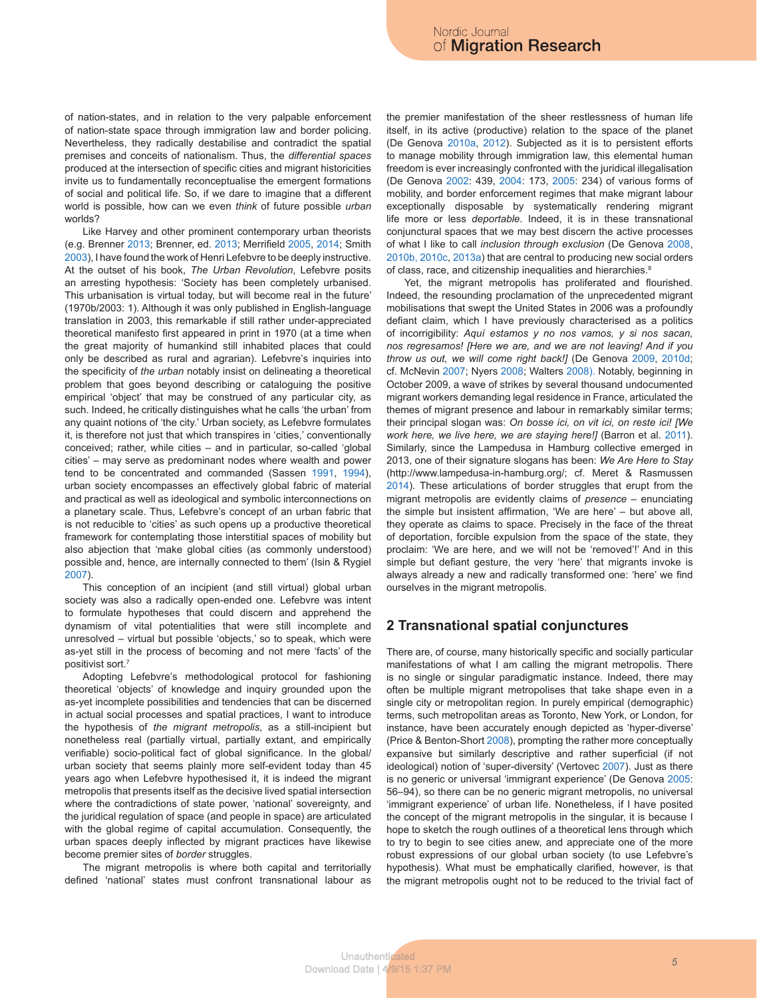of nation-states, and in relation to the very palpable enforcement of nation-state space through immigration law and border policing. Nevertheless, they radically destabilise and contradict the spatial premises and conceits of nationalism. Thus, the *differential spaces* produced at the intersection of specific cities and migrant historicities invite us to fundamentally reconceptualise the emergent formations of social and political life. So, if we dare to imagine that a different world is possible, how can we even *think* of future possible *urban* worlds?

Like Harvey and other prominent contemporary urban theorists (e.g. Brenner 2013; Brenner, ed. 2013; Merrifield 2005, 2014; Smith 2003), I have found the work of Henri Lefebvre to be deeply instructive. At the outset of his book, *The Urban Revolution*, Lefebvre posits an arresting hypothesis: 'Society has been completely urbanised. This urbanisation is virtual today, but will become real in the future' (1970b/2003: 1). Although it was only published in English-language translation in 2003, this remarkable if still rather under-appreciated theoretical manifesto first appeared in print in 1970 (at a time when the great majority of humankind still inhabited places that could only be described as rural and agrarian). Lefebvre's inquiries into the specificity of *the urban* notably insist on delineating a theoretical problem that goes beyond describing or cataloguing the positive empirical 'object' that may be construed of any particular city, as such. Indeed, he critically distinguishes what he calls 'the urban' from any quaint notions of 'the city.' Urban society, as Lefebvre formulates it, is therefore not just that which transpires in 'cities,' conventionally conceived; rather, while cities – and in particular, so-called 'global cities' – may serve as predominant nodes where wealth and power tend to be concentrated and commanded (Sassen 1991, 1994), urban society encompasses an effectively global fabric of material and practical as well as ideological and symbolic interconnections on a planetary scale. Thus, Lefebvre's concept of an urban fabric that is not reducible to 'cities' as such opens up a productive theoretical framework for contemplating those interstitial spaces of mobility but also abjection that 'make global cities (as commonly understood) possible and, hence, are internally connected to them' (Isin & Rygiel 2007).

This conception of an incipient (and still virtual) global urban society was also a radically open-ended one. Lefebvre was intent to formulate hypotheses that could discern and apprehend the dynamism of vital potentialities that were still incomplete and unresolved – virtual but possible 'objects,' so to speak, which were as-yet still in the process of becoming and not mere 'facts' of the positivist sort.7

Adopting Lefebvre's methodological protocol for fashioning theoretical 'objects' of knowledge and inquiry grounded upon the as-yet incomplete possibilities and tendencies that can be discerned in actual social processes and spatial practices, I want to introduce the hypothesis of *the migrant metropolis*, as a still-incipient but nonetheless real (partially virtual, partially extant, and empirically verifiable) socio-political fact of global significance. In the global/ urban society that seems plainly more self-evident today than 45 years ago when Lefebvre hypothesised it, it is indeed the migrant metropolis that presents itself as the decisive lived spatial intersection where the contradictions of state power, 'national' sovereignty, and the juridical regulation of space (and people in space) are articulated with the global regime of capital accumulation. Consequently, the urban spaces deeply inflected by migrant practices have likewise become premier sites of *border* struggles.

The migrant metropolis is where both capital and territorially defined 'national' states must confront transnational labour as the premier manifestation of the sheer restlessness of human life itself, in its active (productive) relation to the space of the planet (De Genova 2010a, 2012). Subjected as it is to persistent efforts to manage mobility through immigration law, this elemental human freedom is ever increasingly confronted with the juridical illegalisation (De Genova 2002: 439, 2004: 173, 2005: 234) of various forms of mobility, and border enforcement regimes that make migrant labour exceptionally disposable by systematically rendering migrant life more or less *deportable*. Indeed, it is in these transnational conjunctural spaces that we may best discern the active processes of what I like to call *inclusion through exclusion* (De Genova 2008, 2010b, 2010c, 2013a) that are central to producing new social orders of class, race, and citizenship inequalities and hierarchies.<sup>8</sup>

Yet, the migrant metropolis has proliferated and flourished. Indeed, the resounding proclamation of the unprecedented migrant mobilisations that swept the United States in 2006 was a profoundly defiant claim, which I have previously characterised as a politics of incorrigibility: *Aquí estamos y no nos vamos, y si nos sacan, nos regresamos! [Here we are, and we are not leaving! And if you throw us out, we will come right back!]* (De Genova 2009, 2010d; cf. McNevin 2007; Nyers 2008; Walters 2008). Notably, beginning in October 2009, a wave of strikes by several thousand undocumented migrant workers demanding legal residence in France, articulated the themes of migrant presence and labour in remarkably similar terms; their principal slogan was: *On bosse ici, on vit ici, on reste ici! [We work here, we live here, we are staying here!]* (Barron et al. 2011). Similarly, since the Lampedusa in Hamburg collective emerged in 2013, one of their signature slogans has been: *We Are Here to Stay* (http://www.lampedusa-in-hamburg.org/; cf. Meret & Rasmussen 2014). These articulations of border struggles that erupt from the migrant metropolis are evidently claims of *presence* – enunciating the simple but insistent affirmation, 'We are here' – but above all, they operate as claims to space. Precisely in the face of the threat of deportation, forcible expulsion from the space of the state, they proclaim: 'We are here, and we will not be 'removed'!' And in this simple but defiant gesture, the very 'here' that migrants invoke is always already a new and radically transformed one: 'here' we find ourselves in the migrant metropolis.

### **2 Transnational spatial conjunctures**

There are, of course, many historically specific and socially particular manifestations of what I am calling the migrant metropolis. There is no single or singular paradigmatic instance. Indeed, there may often be multiple migrant metropolises that take shape even in a single city or metropolitan region. In purely empirical (demographic) terms, such metropolitan areas as Toronto, New York, or London, for instance, have been accurately enough depicted as 'hyper-diverse' (Price & Benton-Short 2008), prompting the rather more conceptually expansive but similarly descriptive and rather superficial (if not ideological) notion of 'super-diversity' (Vertovec 2007). Just as there is no generic or universal 'immigrant experience' (De Genova 2005: 56–94), so there can be no generic migrant metropolis, no universal 'immigrant experience' of urban life. Nonetheless, if I have posited the concept of the migrant metropolis in the singular, it is because I hope to sketch the rough outlines of a theoretical lens through which to try to begin to see cities anew, and appreciate one of the more robust expressions of our global urban society (to use Lefebvre's hypothesis). What must be emphatically clarified, however, is that the migrant metropolis ought not to be reduced to the trivial fact of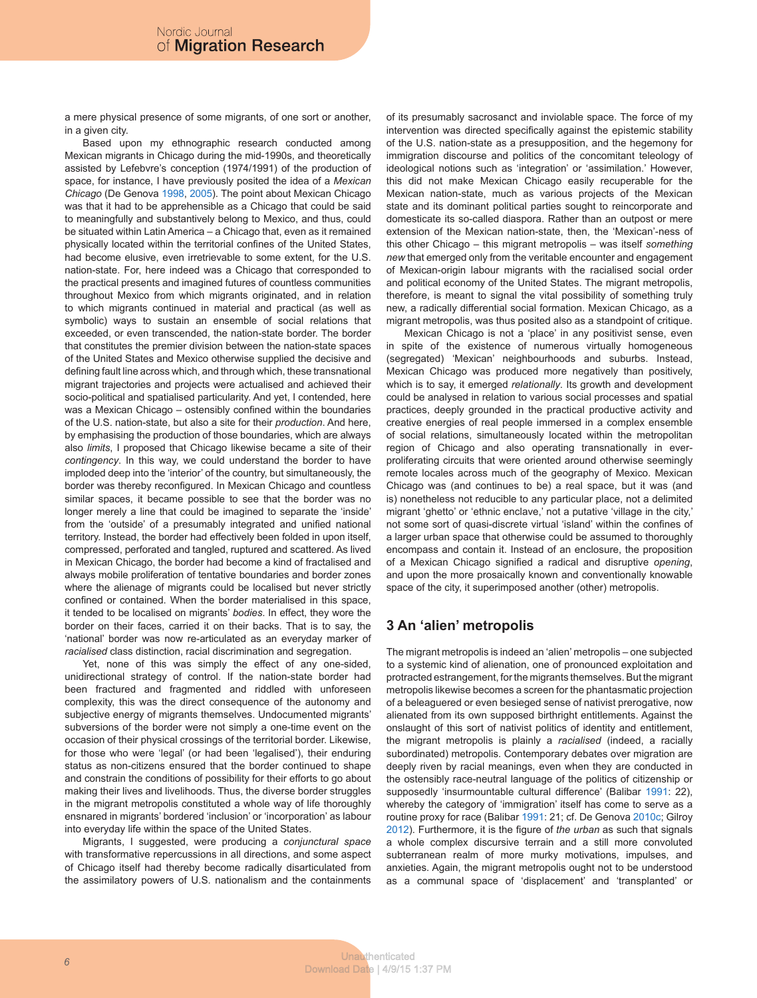a mere physical presence of some migrants, of one sort or another, in a given city.

Based upon my ethnographic research conducted among Mexican migrants in Chicago during the mid-1990s, and theoretically assisted by Lefebvre's conception (1974/1991) of the production of space, for instance, I have previously posited the idea of a *Mexican Chicago* (De Genova 1998, 2005). The point about Mexican Chicago was that it had to be apprehensible as a Chicago that could be said to meaningfully and substantively belong to Mexico, and thus, could be situated within Latin America – a Chicago that, even as it remained physically located within the territorial confines of the United States, had become elusive, even irretrievable to some extent, for the U.S. nation-state. For, here indeed was a Chicago that corresponded to the practical presents and imagined futures of countless communities throughout Mexico from which migrants originated, and in relation to which migrants continued in material and practical (as well as symbolic) ways to sustain an ensemble of social relations that exceeded, or even transcended, the nation-state border. The border that constitutes the premier division between the nation-state spaces of the United States and Mexico otherwise supplied the decisive and defining fault line across which, and through which, these transnational migrant trajectories and projects were actualised and achieved their socio-political and spatialised particularity. And yet, I contended, here was a Mexican Chicago – ostensibly confined within the boundaries of the U.S. nation-state, but also a site for their *production*. And here, by emphasising the production of those boundaries, which are always also *limits*, I proposed that Chicago likewise became a site of their *contingency*. In this way, we could understand the border to have imploded deep into the 'interior' of the country, but simultaneously, the border was thereby reconfigured. In Mexican Chicago and countless similar spaces, it became possible to see that the border was no longer merely a line that could be imagined to separate the 'inside' from the 'outside' of a presumably integrated and unified national territory. Instead, the border had effectively been folded in upon itself, compressed, perforated and tangled, ruptured and scattered. As lived in Mexican Chicago, the border had become a kind of fractalised and always mobile proliferation of tentative boundaries and border zones where the alienage of migrants could be localised but never strictly confined or contained. When the border materialised in this space, it tended to be localised on migrants' *bodies*. In effect, they wore the border on their faces, carried it on their backs. That is to say, the 'national' border was now re-articulated as an everyday marker of *racialised* class distinction, racial discrimination and segregation.

Yet, none of this was simply the effect of any one-sided, unidirectional strategy of control. If the nation-state border had been fractured and fragmented and riddled with unforeseen complexity, this was the direct consequence of the autonomy and subjective energy of migrants themselves. Undocumented migrants' subversions of the border were not simply a one-time event on the occasion of their physical crossings of the territorial border. Likewise, for those who were 'legal' (or had been 'legalised'), their enduring status as non-citizens ensured that the border continued to shape and constrain the conditions of possibility for their efforts to go about making their lives and livelihoods. Thus, the diverse border struggles in the migrant metropolis constituted a whole way of life thoroughly ensnared in migrants' bordered 'inclusion' or 'incorporation' as labour into everyday life within the space of the United States.

Migrants, I suggested, were producing a *conjunctural space* with transformative repercussions in all directions, and some aspect of Chicago itself had thereby become radically disarticulated from the assimilatory powers of U.S. nationalism and the containments of its presumably sacrosanct and inviolable space. The force of my intervention was directed specifically against the epistemic stability of the U.S. nation-state as a presupposition, and the hegemony for immigration discourse and politics of the concomitant teleology of ideological notions such as 'integration' or 'assimilation.' However, this did not make Mexican Chicago easily recuperable for the Mexican nation-state, much as various projects of the Mexican state and its dominant political parties sought to reincorporate and domesticate its so-called diaspora. Rather than an outpost or mere extension of the Mexican nation-state, then, the 'Mexican'-ness of this other Chicago – this migrant metropolis – was itself *something new* that emerged only from the veritable encounter and engagement of Mexican-origin labour migrants with the racialised social order and political economy of the United States. The migrant metropolis, therefore, is meant to signal the vital possibility of something truly new, a radically differential social formation. Mexican Chicago, as a migrant metropolis, was thus posited also as a standpoint of critique.

Mexican Chicago is not a 'place' in any positivist sense, even in spite of the existence of numerous virtually homogeneous (segregated) 'Mexican' neighbourhoods and suburbs. Instead, Mexican Chicago was produced more negatively than positively, which is to say, it emerged *relationally*. Its growth and development could be analysed in relation to various social processes and spatial practices, deeply grounded in the practical productive activity and creative energies of real people immersed in a complex ensemble of social relations, simultaneously located within the metropolitan region of Chicago and also operating transnationally in everproliferating circuits that were oriented around otherwise seemingly remote locales across much of the geography of Mexico. Mexican Chicago was (and continues to be) a real space, but it was (and is) nonetheless not reducible to any particular place, not a delimited migrant 'ghetto' or 'ethnic enclave,' not a putative 'village in the city,' not some sort of quasi-discrete virtual 'island' within the confines of a larger urban space that otherwise could be assumed to thoroughly encompass and contain it. Instead of an enclosure, the proposition of a Mexican Chicago signified a radical and disruptive *opening*, and upon the more prosaically known and conventionally knowable space of the city, it superimposed another (other) metropolis.

# **3 An 'alien' metropolis**

The migrant metropolis is indeed an 'alien' metropolis – one subjected to a systemic kind of alienation, one of pronounced exploitation and protracted estrangement, for the migrants themselves. But the migrant metropolis likewise becomes a screen for the phantasmatic projection of a beleaguered or even besieged sense of nativist prerogative, now alienated from its own supposed birthright entitlements. Against the onslaught of this sort of nativist politics of identity and entitlement, the migrant metropolis is plainly a *racialised* (indeed, a racially subordinated) metropolis. Contemporary debates over migration are deeply riven by racial meanings, even when they are conducted in the ostensibly race-neutral language of the politics of citizenship or supposedly 'insurmountable cultural difference' (Balibar 1991: 22), whereby the category of 'immigration' itself has come to serve as a routine proxy for race (Balibar 1991: 21; cf. De Genova 2010c; Gilroy 2012). Furthermore, it is the figure of *the urban* as such that signals a whole complex discursive terrain and a still more convoluted subterranean realm of more murky motivations, impulses, and anxieties. Again, the migrant metropolis ought not to be understood as a communal space of 'displacement' and 'transplanted' or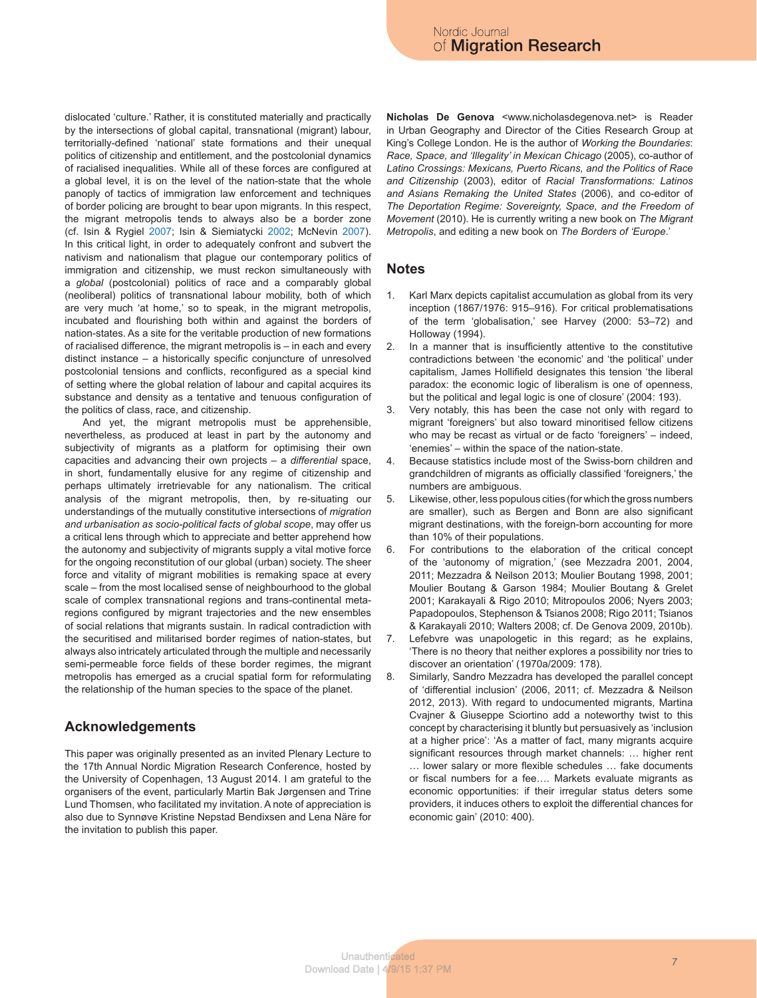dislocated 'culture.' Rather, it is constituted materially and practically by the intersections of global capital, transnational (migrant) labour, territorially-defined 'national' state formations and their unequal politics of citizenship and entitlement, and the postcolonial dynamics of racialised inequalities. While all of these forces are configured at a global level, it is on the level of the nation-state that the whole panoply of tactics of immigration law enforcement and techniques of border policing are brought to bear upon migrants. In this respect, the migrant metropolis tends to always also be a border zone (cf. Isin & Rygiel 2007; Isin & Siemiatycki 2002; McNevin 2007). In this critical light, in order to adequately confront and subvert the nativism and nationalism that plague our contemporary politics of immigration and citizenship, we must reckon simultaneously with a *global* (postcolonial) politics of race and a comparably global (neoliberal) politics of transnational labour mobility, both of which are very much 'at home,' so to speak, in the migrant metropolis, incubated and flourishing both within and against the borders of nation-states. As a site for the veritable production of new formations of racialised difference, the migrant metropolis is – in each and every distinct instance – a historically specific conjuncture of unresolved postcolonial tensions and conflicts, reconfigured as a special kind of setting where the global relation of labour and capital acquires its substance and density as a tentative and tenuous configuration of the politics of class, race, and citizenship.

And yet, the migrant metropolis must be apprehensible, nevertheless, as produced at least in part by the autonomy and subjectivity of migrants as a platform for optimising their own capacities and advancing their own projects – a *differential* space, in short, fundamentally elusive for any regime of citizenship and perhaps ultimately irretrievable for any nationalism. The critical analysis of the migrant metropolis, then, by re-situating our understandings of the mutually constitutive intersections of *migration and urbanisation as socio-political facts of global scope*, may offer us a critical lens through which to appreciate and better apprehend how the autonomy and subjectivity of migrants supply a vital motive force for the ongoing reconstitution of our global (urban) society. The sheer force and vitality of migrant mobilities is remaking space at every scale – from the most localised sense of neighbourhood to the global scale of complex transnational regions and trans-continental metaregions configured by migrant trajectories and the new ensembles of social relations that migrants sustain. In radical contradiction with the securitised and militarised border regimes of nation-states, but always also intricately articulated through the multiple and necessarily semi-permeable force fields of these border regimes, the migrant metropolis has emerged as a crucial spatial form for reformulating the relationship of the human species to the space of the planet.

# **Acknowledgements**

This paper was originally presented as an invited Plenary Lecture to the 17th Annual Nordic Migration Research Conference, hosted by the University of Copenhagen, 13 August 2014. I am grateful to the organisers of the event, particularly Martin Bak Jørgensen and Trine Lund Thomsen, who facilitated my invitation. A note of appreciation is also due to Synnøve Kristine Nepstad Bendixsen and Lena Näre for the invitation to publish this paper.

**Nicholas De Genova** <www.nicholasdegenova.net> is Reader in Urban Geography and Director of the Cities Research Group at King's College London. He is the author of *Working the Boundaries*: *Race, Space, and 'Illegality' in Mexican Chicago* (2005), co-author of *Latino Crossings: Mexicans, Puerto Ricans, and the Politics of Race and Citizenship* (2003), editor of *Racial Transformations: Latinos and Asians Remaking the United States* (2006), and co-editor of *The Deportation Regime: Sovereignty, Space, and the Freedom of Movement* (2010). He is currently writing a new book on *The Migrant Metropolis*, and editing a new book on *The Borders of 'Europe*.'

### **Notes**

- Karl Marx depicts capitalist accumulation as global from its very inception (1867/1976: 915–916). For critical problematisations of the term 'globalisation,' see Harvey (2000: 53–72) and Holloway (1994).
- 2. In a manner that is insufficiently attentive to the constitutive contradictions between 'the economic' and 'the political' under capitalism, James Hollifield designates this tension 'the liberal paradox: the economic logic of liberalism is one of openness, but the political and legal logic is one of closure' (2004: 193).
- 3. Very notably, this has been the case not only with regard to migrant 'foreigners' but also toward minoritised fellow citizens who may be recast as virtual or de facto 'foreigners' – indeed, 'enemies' – within the space of the nation-state.
- 4. Because statistics include most of the Swiss-born children and grandchildren of migrants as officially classified 'foreigners,' the numbers are ambiguous.
- 5. Likewise, other, less populous cities (for which the gross numbers are smaller), such as Bergen and Bonn are also significant migrant destinations, with the foreign-born accounting for more than 10% of their populations.
- 6. For contributions to the elaboration of the critical concept of the 'autonomy of migration,' (see Mezzadra 2001, 2004, 2011; Mezzadra & Neilson 2013; Moulier Boutang 1998, 2001; Moulier Boutang & Garson 1984; Moulier Boutang & Grelet 2001; Karakayali & Rigo 2010; Mitropoulos 2006; Nyers 2003; Papadopoulos, Stephenson & Tsianos 2008; Rigo 2011; Tsianos & Karakayali 2010; Walters 2008; cf. De Genova 2009, 2010b).
- 7. Lefebvre was unapologetic in this regard; as he explains, 'There is no theory that neither explores a possibility nor tries to discover an orientation' (1970a/2009: 178).
- 8. Similarly, Sandro Mezzadra has developed the parallel concept of 'differential inclusion' (2006, 2011; cf. Mezzadra & Neilson 2012, 2013). With regard to undocumented migrants, Martina Cvajner & Giuseppe Sciortino add a noteworthy twist to this concept by characterising it bluntly but persuasively as 'inclusion at a higher price': 'As a matter of fact, many migrants acquire significant resources through market channels: … higher rent … lower salary or more flexible schedules … fake documents or fiscal numbers for a fee…. Markets evaluate migrants as economic opportunities: if their irregular status deters some providers, it induces others to exploit the differential chances for economic gain' (2010: 400).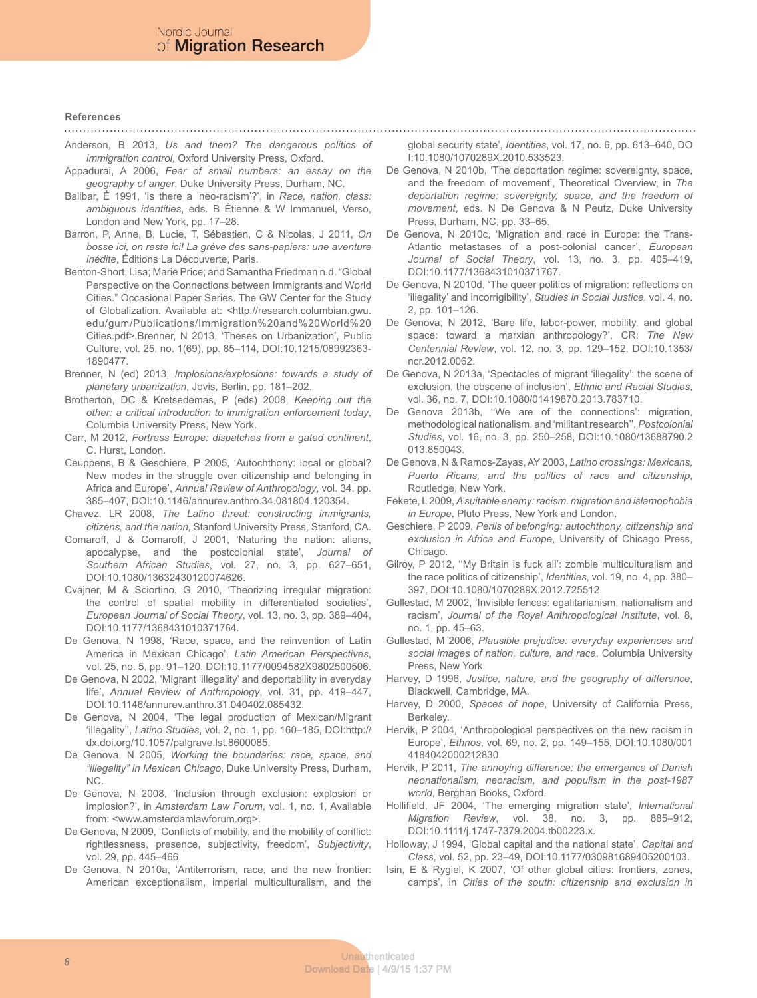# **References**

Anderson, B 2013, *Us and them? The dangerous politics of immigration control*, Oxford University Press, Oxford.

- Appadurai, A 2006, *Fear of small numbers: an essay on the geography of anger*, Duke University Press, Durham, NC.
- Balibar, É 1991, 'Is there a 'neo-racism'?', in *Race, nation, class: ambiguous identities*, eds. B Étienne & W Immanuel, Verso, London and New York, pp. 17–28.
- Barron, P, Anne, B, Lucie, T, Sébastien, C & Nicolas, J 2011, *On bosse ici, on reste ici! La grève des sans-papiers: une aventure inédite*, Éditions La Découverte, Paris.
- Benton-Short, Lisa; Marie Price; and Samantha Friedman n.d. "Global Perspective on the Connections between Immigrants and World Cities." Occasional Paper Series. The GW Center for the Study of Globalization. Available at: <http://research.columbian.gwu. edu/gum/Publications/Immigration%20and%20World%20 Cities.pdf>.Brenner, N 2013, 'Theses on Urbanization', Public Culture, vol. 25, no. 1(69), pp. 85–114, DOI:10.1215/08992363- 1890477.
- Brenner, N (ed) 2013, *Implosions/explosions: towards a study of planetary urbanization*, Jovis, Berlin, pp. 181–202.
- Brotherton, DC & Kretsedemas, P (eds) 2008, *Keeping out the other: a critical introduction to immigration enforcement today*, Columbia University Press, New York.
- Carr, M 2012, *Fortress Europe: dispatches from a gated continent*, C. Hurst, London.
- Ceuppens, B & Geschiere, P 2005, 'Autochthony: local or global? New modes in the struggle over citizenship and belonging in Africa and Europe', *Annual Review of Anthropology*, vol. 34, pp. 385–407, DOI:10.1146/annurev.anthro.34.081804.120354.
- Chavez, LR 2008, *The Latino threat: constructing immigrants, citizens, and the nation*, Stanford University Press, Stanford, CA.
- Comaroff, J & Comaroff, J 2001, 'Naturing the nation: aliens, apocalypse, and the postcolonial state', *Journal of Southern African Studies*, vol. 27, no. 3, pp. 627–651, DOI:10.1080/13632430120074626.
- Cvajner, M & Sciortino, G 2010, 'Theorizing irregular migration: the control of spatial mobility in differentiated societies', *European Journal of Social Theory*, vol. 13, no. 3, pp. 389–404, DOI:10.1177/1368431010371764.
- De Genova, N 1998, 'Race, space, and the reinvention of Latin America in Mexican Chicago', *Latin American Perspectives*, vol. 25, no. 5, pp. 91–120, DOI:10.1177/0094582X9802500506.
- De Genova, N 2002, 'Migrant 'illegality' and deportability in everyday life', *Annual Review of Anthropology*, vol. 31, pp. 419–447, DOI:10.1146/annurev.anthro.31.040402.085432.
- De Genova, N 2004, 'The legal production of Mexican/Migrant 'illegality'', *Latino Studies*, vol. 2, no. 1, pp. 160–185, DOI:http:// dx.doi.org/10.1057/palgrave.lst.8600085.
- De Genova, N 2005, *Working the boundaries: race, space, and "illegality" in Mexican Chicago*, Duke University Press, Durham, NC.
- De Genova, N 2008, 'Inclusion through exclusion: explosion or implosion?', in *Amsterdam Law Forum*, vol. 1, no. 1, Available from: <www.amsterdamlawforum.org>.
- De Genova, N 2009, 'Conflicts of mobility, and the mobility of conflict: rightlessness, presence, subjectivity, freedom', *Subjectivity*, vol. 29, pp. 445–466.
- De Genova, N 2010a, 'Antiterrorism, race, and the new frontier: American exceptionalism, imperial multiculturalism, and the

global security state', *Identities*, vol. 17, no. 6, pp. 613–640, DO I:10.1080/1070289X.2010.533523.

- De Genova, N 2010b, 'The deportation regime: sovereignty, space, and the freedom of movement', Theoretical Overview, in *The deportation regime: sovereignty, space, and the freedom of movement*, eds. N De Genova & N Peutz, Duke University Press, Durham, NC, pp. 33–65.
- De Genova, N 2010c, 'Migration and race in Europe: the Trans-Atlantic metastases of a post-colonial cancer', *European Journal of Social Theory*, vol. 13, no. 3, pp. 405–419, DOI:10.1177/1368431010371767.
- De Genova, N 2010d, 'The queer politics of migration: reflections on 'illegality' and incorrigibility', *Studies in Social Justice*, vol. 4, no. 2, pp. 101–126.
- De Genova, N 2012, 'Bare life, labor-power, mobility, and global space: toward a marxian anthropology?', CR: *The New Centennial Review*, vol. 12, no. 3, pp. 129–152, DOI:10.1353/ ncr.2012.0062.
- De Genova, N 2013a, 'Spectacles of migrant 'illegality': the scene of exclusion, the obscene of inclusion', *Ethnic and Racial Studies*, vol. 36, no. 7, DOI:10.1080/01419870.2013.783710.
- De Genova 2013b, ''We are of the connections': migration, methodological nationalism, and 'militant research'', *Postcolonial Studies*, vol. 16, no. 3, pp. 250–258, DOI:10.1080/13688790.2 013.850043.
- De Genova, N & Ramos-Zayas, AY 2003, *Latino crossings: Mexicans, Puerto Ricans, and the politics of race and citizenship*, Routledge, New York.
- Fekete, L 2009, *A suitable enemy: racism, migration and islamophobia in Europe*, Pluto Press, New York and London.
- Geschiere, P 2009, *Perils of belonging: autochthony, citizenship and exclusion in Africa and Europe*, University of Chicago Press, Chicago.
- Gilroy, P 2012, ''My Britain is fuck all': zombie multiculturalism and the race politics of citizenship', *Identities*, vol. 19, no. 4, pp. 380– 397, DOI:10.1080/1070289X.2012.725512.
- Gullestad, M 2002, 'Invisible fences: egalitarianism, nationalism and racism', *Journal of the Royal Anthropological Institute*, vol. 8, no. 1, pp. 45–63.
- Gullestad, M 2006, *Plausible prejudice: everyday experiences and social images of nation, culture, and race*, Columbia University Press, New York.
- Harvey, D 1996, *Justice, nature, and the geography of difference*, Blackwell, Cambridge, MA.
- Harvey, D 2000, *Spaces of hope*, University of California Press, Berkeley.
- Hervik, P 2004, 'Anthropological perspectives on the new racism in Europe', *Ethnos*, vol. 69, no. 2, pp. 149–155, DOI:10.1080/001 4184042000212830.
- Hervik, P 2011, *The annoying difference: the emergence of Danish neonationalism, neoracism, and populism in the post-1987 world*, Berghan Books, Oxford.
- Hollifield, JF 2004, 'The emerging migration state', *International Migration Review*, vol. 38, no. 3, pp. 885–912, DOI:10.1111/j.1747-7379.2004.tb00223.x.
- Holloway, J 1994, 'Global capital and the national state', *Capital and Class*, vol. 52, pp. 23–49, DOI:10.1177/030981689405200103.
- Isin, E & Rygiel, K 2007, 'Of other global cities: frontiers, zones, camps', in *Cities of the south: citizenship and exclusion in*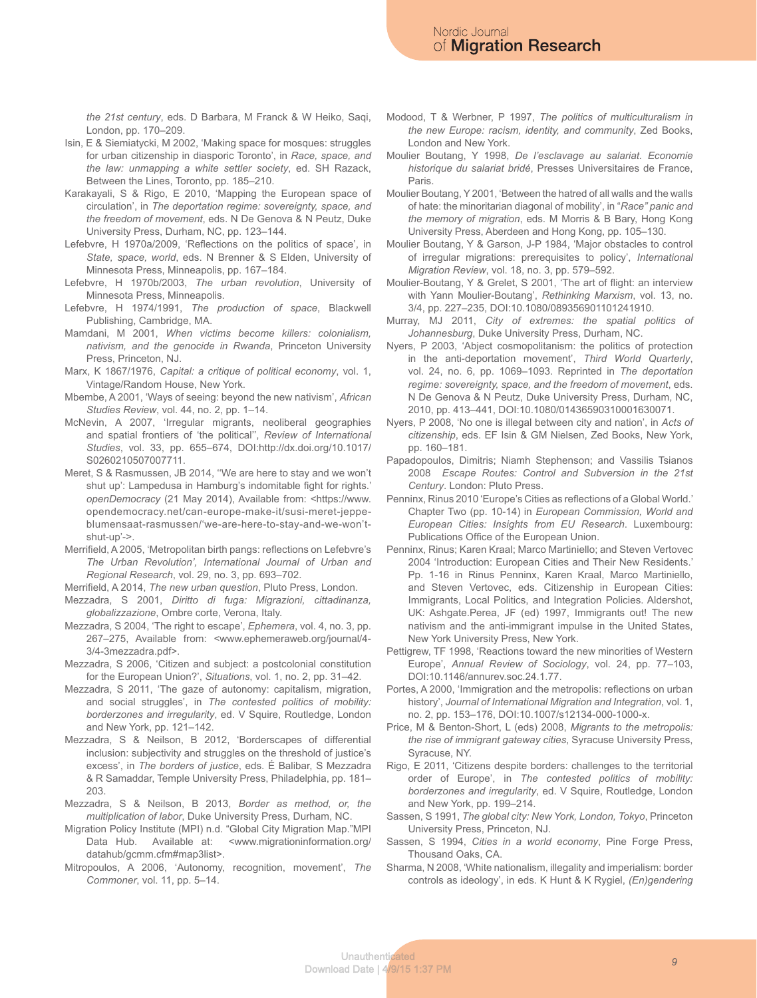*the 21st century*, eds. D Barbara, M Franck & W Heiko, Saqi, London, pp. 170–209.

- Isin, E & Siemiatycki, M 2002, 'Making space for mosques: struggles for urban citizenship in diasporic Toronto', in *Race, space, and the law: unmapping a white settler society*, ed. SH Razack, Between the Lines, Toronto, pp. 185–210.
- Karakayali, S & Rigo, E 2010, 'Mapping the European space of circulation', in *The deportation regime: sovereignty, space, and the freedom of movement*, eds. N De Genova & N Peutz, Duke University Press, Durham, NC, pp. 123–144.
- Lefebvre, H 1970a/2009, 'Reflections on the politics of space', in *State, space, world*, eds. N Brenner & S Elden, University of Minnesota Press, Minneapolis, pp. 167–184.
- Lefebvre, H 1970b/2003, *The urban revolution*, University of Minnesota Press, Minneapolis.
- Lefebvre, H 1974/1991, *The production of space*, Blackwell Publishing, Cambridge, MA.
- Mamdani, M 2001, *When victims become killers: colonialism, nativism, and the genocide in Rwanda*, Princeton University Press, Princeton, NJ.
- Marx, K 1867/1976, *Capital: a critique of political economy*, vol. 1, Vintage/Random House, New York.
- Mbembe, A 2001, 'Ways of seeing: beyond the new nativism', *African Studies Review*, vol. 44, no. 2, pp. 1–14.
- McNevin, A 2007, 'Irregular migrants, neoliberal geographies and spatial frontiers of 'the political'', *Review of International Studies*, vol. 33, pp. 655–674, DOI:http://dx.doi.org/10.1017/ S0260210507007711.
- Meret, S & Rasmussen, JB 2014, ''We are here to stay and we won't shut up': Lampedusa in Hamburg's indomitable fight for rights.' *openDemocracy* (21 May 2014), Available from: <https://www. opendemocracy.net/can-europe-make-it/susi-meret-jeppeblumensaat-rasmussen/'we-are-here-to-stay-and-we-won'tshut-up'->.
- Merrifield, A 2005, 'Metropolitan birth pangs: reflections on Lefebvre's *The Urban Revolution', International Journal of Urban and Regional Research*, vol. 29, no. 3, pp. 693–702.

Merrifield, A 2014, *The new urban question*, Pluto Press, London.

- Mezzadra, S 2001, *Diritto di fuga: Migrazioni, cittadinanza, globalizzazione*, Ombre corte, Verona, Italy.
- Mezzadra, S 2004, 'The right to escape', *Ephemera*, vol. 4, no. 3, pp. 267–275, Available from: <www.ephemeraweb.org/journal/4- 3/4-3mezzadra.pdf>.
- Mezzadra, S 2006, 'Citizen and subject: a postcolonial constitution for the European Union?', *Situations*, vol. 1, no. 2, pp. 31–42.
- Mezzadra, S 2011, 'The gaze of autonomy: capitalism, migration, and social struggles', in *The contested politics of mobility: borderzones and irregularity*, ed. V Squire, Routledge, London and New York, pp. 121–142.
- Mezzadra, S & Neilson, B 2012, 'Borderscapes of differential inclusion: subjectivity and struggles on the threshold of justice's excess', in *The borders of justice*, eds. É Balibar, S Mezzadra & R Samaddar, Temple University Press, Philadelphia, pp. 181– 203.
- Mezzadra, S & Neilson, B 2013, *Border as method, or, the multiplication of labor*, Duke University Press, Durham, NC.
- Migration Policy Institute (MPI) n.d. "Global City Migration Map."MPI Data Hub. Available at: <www.migrationinformation.org/ datahub/gcmm.cfm#map3list>.
- Mitropoulos, A 2006, 'Autonomy, recognition, movement', *The Commoner*, vol. 11, pp. 5–14.

Modood, T & Werbner, P 1997, *The politics of multiculturalism in the new Europe: racism, identity, and community*, Zed Books, London and New York.

of Migration Research

Nordic Journal

- Moulier Boutang, Y 1998, *De l'esclavage au salariat. Economie historique du salariat bridé*, Presses Universitaires de France, Paris.
- Moulier Boutang, Y 2001, 'Between the hatred of all walls and the walls of hate: the minoritarian diagonal of mobility', in "*Race" panic and the memory of migration*, eds. M Morris & B Bary, Hong Kong University Press, Aberdeen and Hong Kong, pp. 105–130.
- Moulier Boutang, Y & Garson, J-P 1984, 'Major obstacles to control of irregular migrations: prerequisites to policy', *International Migration Review*, vol. 18, no. 3, pp. 579–592.
- Moulier-Boutang, Y & Grelet, S 2001, 'The art of flight: an interview with Yann Moulier-Boutang', *Rethinking Marxism*, vol. 13, no. 3/4, pp. 227–235, DOI:10.1080/089356901101241910.
- Murray, MJ 2011, *City of extremes: the spatial politics of Johannesburg*, Duke University Press, Durham, NC.
- Nyers, P 2003, 'Abject cosmopolitanism: the politics of protection in the anti-deportation movement', *Third World Quarterly*, vol. 24, no. 6, pp. 1069–1093. Reprinted in *The deportation regime: sovereignty, space, and the freedom of movement*, eds. N De Genova & N Peutz, Duke University Press, Durham, NC, 2010, pp. 413–441, DOI:10.1080/01436590310001630071.
- Nyers, P 2008, 'No one is illegal between city and nation', in *Acts of citizenship*, eds. EF Isin & GM Nielsen, Zed Books, New York, pp. 160–181.
- Papadopoulos, Dimitris; Niamh Stephenson; and Vassilis Tsianos 2008 *Escape Routes: Control and Subversion in the 21st Century*. London: Pluto Press.
- Penninx, Rinus 2010 'Europe's Cities as reflections of a Global World.' Chapter Two (pp. 10-14) in *European Commission, World and European Cities: Insights from EU Research*. Luxembourg: Publications Office of the European Union.
- Penninx, Rinus; Karen Kraal; Marco Martiniello; and Steven Vertovec 2004 'Introduction: European Cities and Their New Residents.' Pp. 1-16 in Rinus Penninx, Karen Kraal, Marco Martiniello, and Steven Vertovec, eds. Citizenship in European Cities: Immigrants, Local Politics, and Integration Policies. Aldershot, UK: Ashgate.Perea, JF (ed) 1997, Immigrants out! The new nativism and the anti-immigrant impulse in the United States, New York University Press, New York.
- Pettigrew, TF 1998, 'Reactions toward the new minorities of Western Europe', *Annual Review of Sociology*, vol. 24, pp. 77–103, DOI:10.1146/annurev.soc.24.1.77.
- Portes, A 2000, 'Immigration and the metropolis: reflections on urban history', *Journal of International Migration and Integration*, vol. 1, no. 2, pp. 153–176, DOI:10.1007/s12134-000-1000-x.
- Price, M & Benton-Short, L (eds) 2008, *Migrants to the metropolis: the rise of immigrant gateway cities*, Syracuse University Press, Syracuse, NY.
- Rigo, E 2011, 'Citizens despite borders: challenges to the territorial order of Europe', in *The contested politics of mobility: borderzones and irregularity*, ed. V Squire, Routledge, London and New York, pp. 199–214.
- Sassen, S 1991, *The global city: New York, London, Tokyo*, Princeton University Press, Princeton, NJ.
- Sassen, S 1994, *Cities in a world economy*, Pine Forge Press, Thousand Oaks, CA.
- Sharma, N 2008, 'White nationalism, illegality and imperialism: border controls as ideology', in eds. K Hunt & K Rygiel, *(En)gendering*